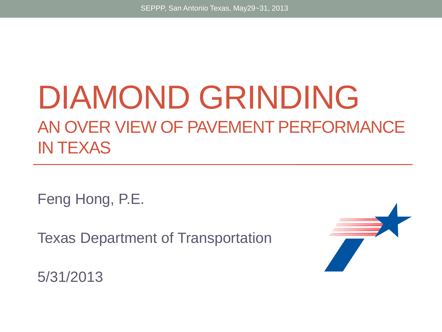### DIAMOND GRINDING AN OVER VIEW OF PAVEMENT PERFORMANCE IN TEXAS

Feng Hong, P.E.

Texas Department of Transportation



5/31/2013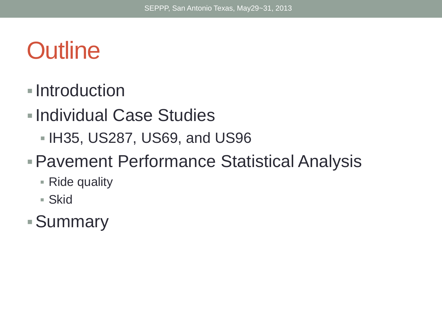## **Outline**

- **Introduction**
- Individual Case Studies
	- IH35, US287, US69, and US96
- Pavement Performance Statistical Analysis
	- Ride quality
	- Skid

#### Summary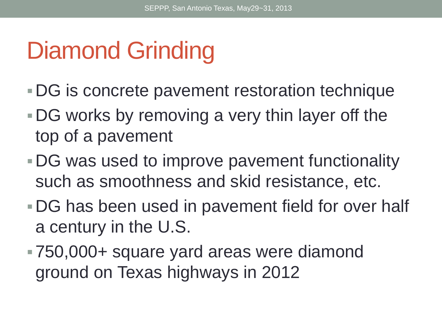# Diamond Grinding

- DG is concrete pavement restoration technique
- DG works by removing a very thin layer off the top of a pavement
- DG was used to improve pavement functionality such as smoothness and skid resistance, etc.
- DG has been used in pavement field for over half a century in the U.S.
- 750,000+ square yard areas were diamond ground on Texas highways in 2012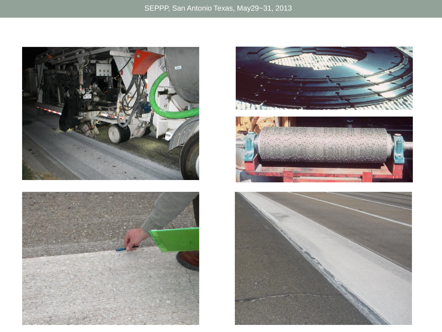







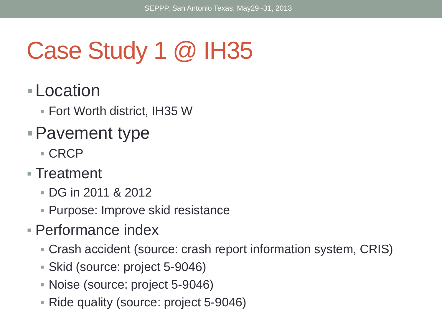# Case Study 1 @ IH35

- Location
	- Fort Worth district, IH35 W
- Pavement type
	- CRCP
- Treatment
	- DG in 2011 & 2012
	- Purpose: Improve skid resistance
- Performance index
	- Crash accident (source: crash report information system, CRIS)
	- Skid (source: project 5-9046)
	- Noise (source: project 5-9046)
	- Ride quality (source: project 5-9046)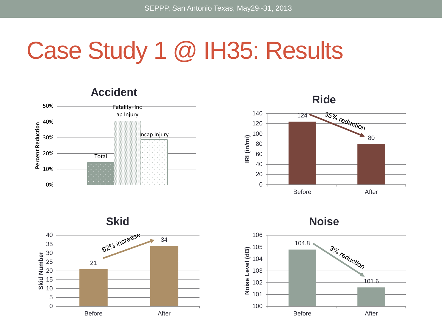## Case Study 1 @ IH35: Results









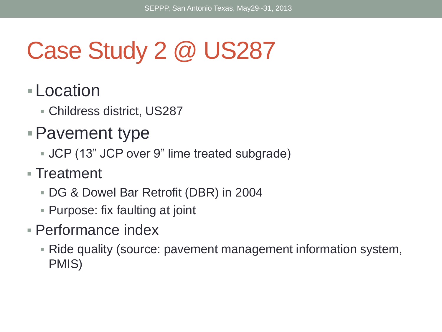## Case Study 2 @ US287

#### **Location**

Childress district, US287

#### Pavement type

JCP (13" JCP over 9" lime treated subgrade)

#### ■ Treatment

- DG & Dowel Bar Retrofit (DBR) in 2004
- **Purpose: fix faulting at joint**
- Performance index
	- Ride quality (source: pavement management information system, PMIS)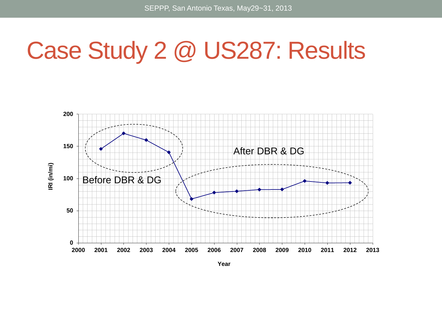### Case Study 2 @ US287: Results



**Year**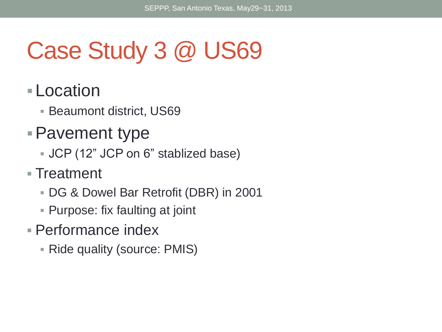# Case Study 3 @ US69

#### Location

- **Beaumont district, US69**
- Pavement type
	- JCP (12" JCP on 6" stablized base)
- Treatment
	- DG & Dowel Bar Retrofit (DBR) in 2001
	- **Purpose: fix faulting at joint**
- Performance index
	- **Ride quality (source: PMIS)**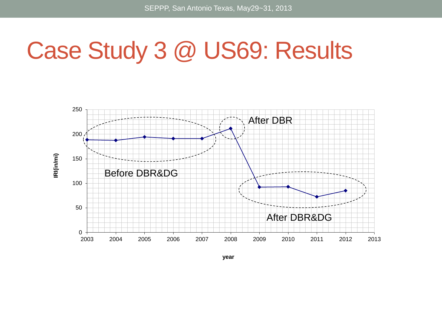### Case Study 3 @ US69: Results



**year**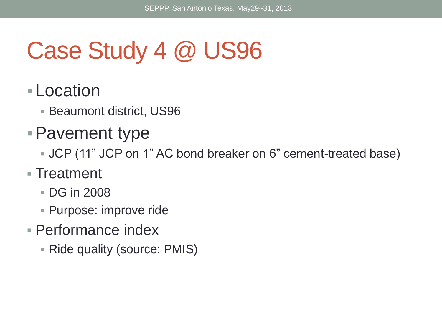## Case Study 4 @ US96

#### **Location**

- **Beaumont district, US96**
- Pavement type
	- JCP (11" JCP on 1" AC bond breaker on 6" cement-treated base)

#### ■ Treatment

- DG in 2008
- Purpose: improve ride
- Performance index
	- **Ride quality (source: PMIS)**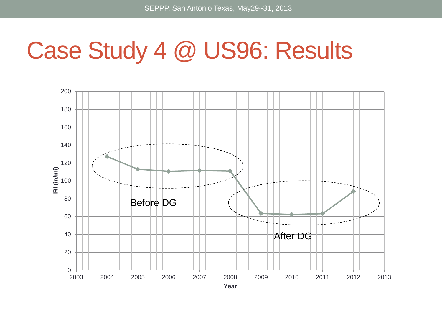### Case Study 4 @ US96: Results

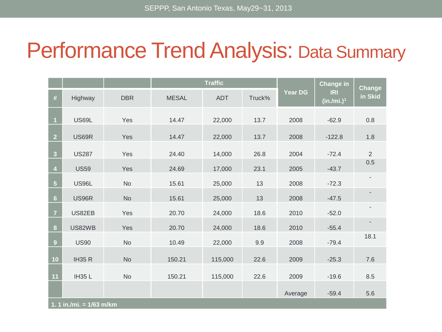#### Performance Trend Analysis: Data Summary

|                         |                            |            | <b>Traffic</b> |            |        |                | <b>Change in</b>                     | Change                   |  |
|-------------------------|----------------------------|------------|----------------|------------|--------|----------------|--------------------------------------|--------------------------|--|
| $\#$                    | Highway                    | <b>DBR</b> | <b>MESAL</b>   | <b>ADT</b> | Truck% | <b>Year DG</b> | <b>IRI</b><br>(in./mi.) <sup>1</sup> | in Skid                  |  |
|                         | US69L                      | Yes        | 14.47          | 22,000     | 13.7   | 2008           | $-62.9$                              | 0.8                      |  |
| $\overline{2}$          | US69R                      | Yes        | 14.47          | 22,000     | 13.7   | 2008           | $-122.8$                             | 1.8                      |  |
| $\overline{\mathbf{3}}$ | <b>US287</b>               | Yes        | 24.40          | 14,000     | 26.8   | 2004           | $-72.4$                              | 2                        |  |
| $\overline{\mathbf{4}}$ | <b>US59</b>                | Yes        | 24.69          | 17,000     | 23.1   | 2005           | $-43.7$                              | 0.5                      |  |
| $5\phantom{.}$          | <b>US96L</b>               | No         | 15.61          | 25,000     | 13     | 2008           | $-72.3$                              |                          |  |
| $6\phantom{a}$          | US96R                      | <b>No</b>  | 15.61          | 25,000     | 13     | 2008           | $-47.5$                              |                          |  |
| $\overline{7}$          | US82EB                     | Yes        | 20.70          | 24,000     | 18.6   | 2010           | $-52.0$                              |                          |  |
| $\bf{8}$                | US82WB                     | Yes        | 20.70          | 24,000     | 18.6   | 2010           | $-55.4$                              | $\overline{\phantom{0}}$ |  |
| 9                       | <b>US90</b>                | <b>No</b>  | 10.49          | 22,000     | 9.9    | 2008           | $-79.4$                              | 18.1                     |  |
| 10                      | <b>IH35 R</b>              | <b>No</b>  | 150.21         | 115,000    | 22.6   | 2009           | $-25.3$                              | 7.6                      |  |
| 11                      | <b>IH35L</b>               | <b>No</b>  | 150.21         | 115,000    | 22.6   | 2009           | $-19.6$                              | 8.5                      |  |
|                         |                            |            |                |            |        | Average        | $-59.4$                              | 5.6                      |  |
|                         | 1. 1 in./mi. = $1/63$ m/km |            |                |            |        |                |                                      |                          |  |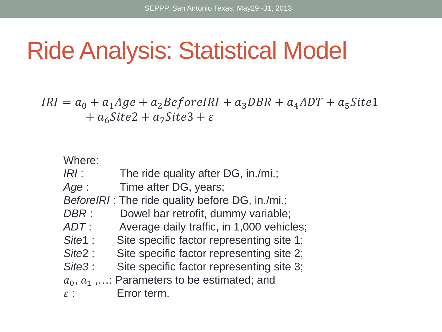## Ride Analysis: Statistical Model

 $IRI = a_0 + a_1 Age + a_2BeforeIRI + a_3DBR + a_4ADT + a_5 Site1$  $+a_6$ Site2 +  $a_7$ Site3 +  $\varepsilon$ 

Where:

- *IRI* : The ride quality after DG, in./mi.;
- Age : Time after DG, years;
- *BeforeIRI* : The ride quality before DG, in./mi.;
- *DBR* : Dowel bar retrofit, dummy variable;
- ADT: Average daily traffic, in 1,000 vehicles;
- Site1 : Site specific factor representing site 1;
- Site2 : Site specific factor representing site 2;
- *Site3* : Site specific factor representing site 3;
- $a_0, a_1, \ldots$ : Parameters to be estimated; and

 $\varepsilon$ : Error term.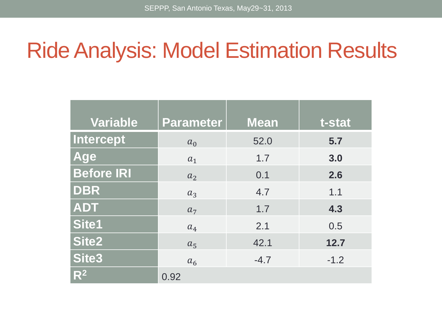#### Ride Analysis: Model Estimation Results

| <b>Variable</b>   | <b>Parameter</b> | <b>Mean</b> | t-stat |
|-------------------|------------------|-------------|--------|
| Intercept         | a <sub>0</sub>   | 52.0        | 5.7    |
| <b>Age</b>        | $a_1$            | 1.7         | 3.0    |
| <b>Before IRI</b> | a <sub>2</sub>   | 0.1         | 2.6    |
| <b>DBR</b>        | $a_3$            | 4.7         | 1.1    |
| <b>ADT</b>        | a <sub>7</sub>   | 1.7         | 4.3    |
| Site1             | $a_4$            | 2.1         | 0.5    |
| Site2             | $a_5$            | 42.1        | 12.7   |
| Site3             | a <sub>6</sub>   | $-4.7$      | $-1.2$ |
| $R^2$             | 0.92             |             |        |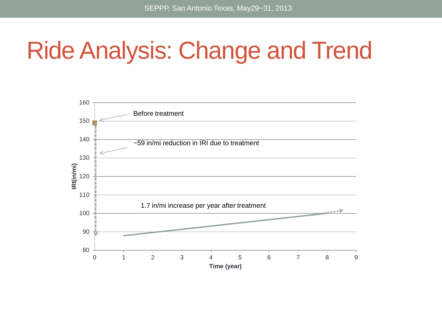## Ride Analysis: Change and Trend

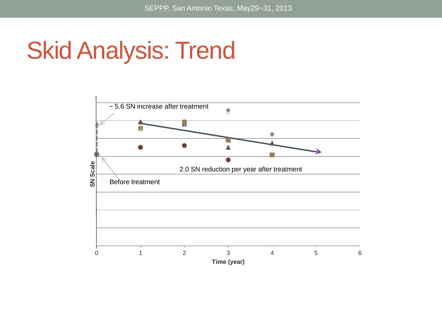## Skid Analysis: Trend

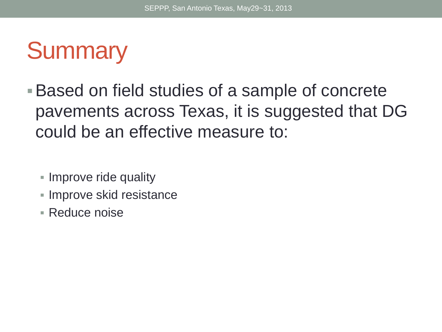## **Summary**

- Based on field studies of a sample of concrete pavements across Texas, it is suggested that DG could be an effective measure to:
	- **Improve ride quality**
	- **Improve skid resistance**
	- Reduce noise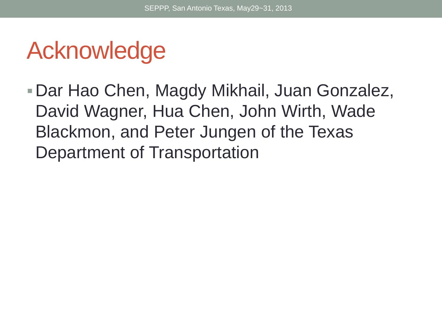## Acknowledge

Dar Hao Chen, Magdy Mikhail, Juan Gonzalez, David Wagner, Hua Chen, John Wirth, Wade Blackmon, and Peter Jungen of the Texas Department of Transportation